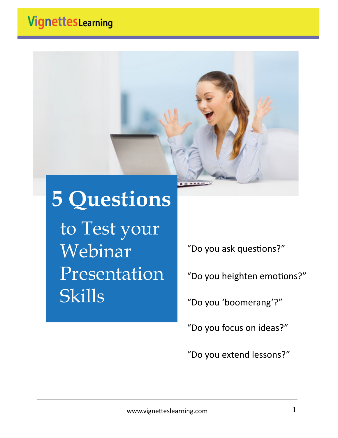# VignettesLearning



# **5 Questions**

to Test your Webinar Presentation Skills

"Do you ask questions?"

"Do you heighten emotions?"

"Do you 'boomerang'?"

"Do you focus on ideas?"

"Do you extend lessons?"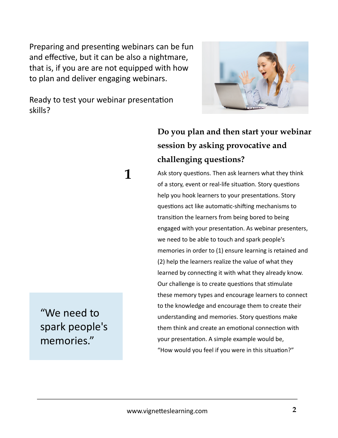Preparing and presenting webinars can be fun and effective, but it can be also a nightmare, that is, if you are are not equipped with how to plan and deliver engaging webinars.

Ready to test your webinar presentation skills?

 **1**



## **Do you plan and then start your webinar session by asking provocative and challenging questions?**

Ask story questions. Then ask learners what they think of a story, event or real-life situation. Story questions help you hook learners to your presentations. Story questions act like automatic-shifting mechanisms to transition the learners from being bored to being engaged with your presentation. As webinar presenters, we need to be able to touch and spark people's memories in order to (1) ensure learning is retained and (2) help the learners realize the value of what they learned by connecting it with what they already know. Our challenge is to create questions that stimulate these memory types and encourage learners to connect to the knowledge and encourage them to create their understanding and memories. Story questions make them think and create an emotional connection with your presentation. A simple example would be, "How would you feel if you were in this situation?"

"We need to spark people's memories."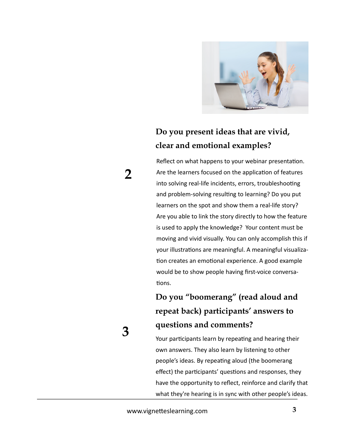

#### **Do you present ideas that are vivid, clear and emotional examples?**

Reflect on what happens to your webinar presentation. Are the learners focused on the application of features into solving real-life incidents, errors, troubleshooting and problem-solving resulting to learning? Do you put learners on the spot and show them a real-life story? Are you able to link the story directly to how the feature is used to apply the knowledge? Your content must be moving and vivid visually. You can only accomplish this if your illustrations are meaningful. A meaningful visualization creates an emotional experience. A good example would be to show people having first-voice conversations.

## **Do you "boomerang" (read aloud and repeat back) participants' answers to questions and comments?**

Your participants learn by repeating and hearing their own answers. They also learn by listening to other people's ideas. By repeating aloud (the boomerang effect) the participants' questions and responses, they have the opportunity to reflect, reinforce and clarify that what they're hearing is in sync with other people's ideas.

# **3**

 **2**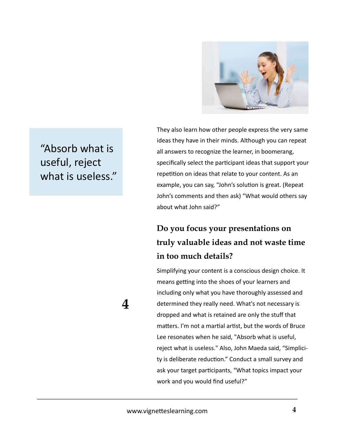

"Absorb what is useful, reject what is useless." They also learn how other people express the very same ideas they have in their minds. Although you can repeat all answers to recognize the learner, in boomerang, specifically select the participant ideas that support your repetition on ideas that relate to your content. As an example, you can say, "John's solution is great. (Repeat John's comments and then ask) "What would others say about what John said?"

#### **Do you focus your presentations on truly valuable ideas and not waste time in too much details?**

Simplifying your content is a conscious design choice. It means getting into the shoes of your learners and including only what you have thoroughly assessed and determined they really need. What's not necessary is dropped and what is retained are only the stuff that matters. I'm not a martial artist, but the words of Bruce Lee resonates when he said, "Absorb what is useful, reject what is useless." Also, John Maeda said, "Simplicity is deliberate reduction." Conduct a small survey and ask your target participants, "What topics impact your work and you would find useful?"

 **4**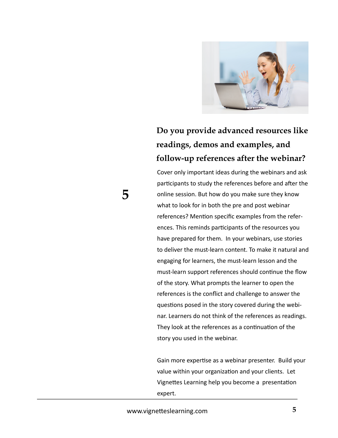

#### **Do you provide advanced resources like readings, demos and examples, and follow-up references after the webinar?**

Cover only important ideas during the webinars and ask participants to study the references before and after the online session. But how do you make sure they know what to look for in both the pre and post webinar references? Mention specific examples from the references. This reminds participants of the resources you have prepared for them. In your webinars, use stories to deliver the must-learn content. To make it natural and engaging for learners, the must-learn lesson and the must-learn support references should continue the flow of the story. What prompts the learner to open the references is the conflict and challenge to answer the questions posed in the story covered during the webinar. Learners do not think of the references as readings. They look at the references as a continuation of the story you used in the webinar.

Gain more expertise as a webinar presenter. Build your value within your organization and your clients. Let Vignettes Learning help you become a presentation expert.

 **5**